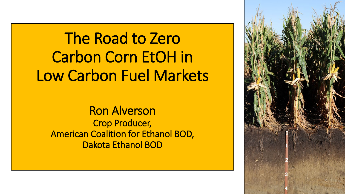The Road to Zero Carbon Corn EtOH in Low Carbon Fuel Markets

Ron Alverson Crop Producer, American Coalition for Ethanol BOD, Dakota Ethanol BOD

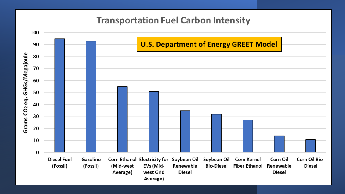### **Transportation Fuel Carbon Intensity**

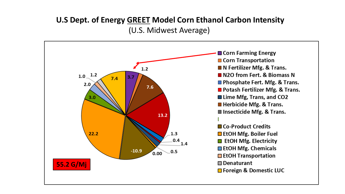# **U.S Dept. of Energy GREET Model Corn Ethanol Carbon Intensity**

(U.S. Midwest Average)

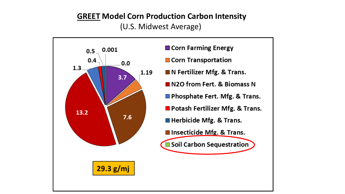#### **GREET Model Corn Production Carbon Intensity**

(U.S. Midwest Average)

![](_page_3_Figure_2.jpeg)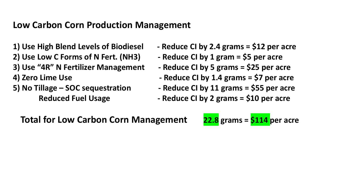### **Low Carbon Corn Production Management**

- **2) Use Low C Forms of N Fert. (NH3) - Reduce CI by 1 gram = \$5 per acre 3) Use "4R" N Fertilizer Management - Reduce CI by 5 grams = \$25 per acre**
- 
- **1) Use High Blend Levels of Biodiesel - Reduce CI by 2.4 grams = \$12 per acre**
	-
	-
- **4) Zero Lime Use - Reduce CI by 1.4 grams = \$7 per acre**
- **5) No Tillage – SOC sequestration - Reduce CI by 11 grams = \$55 per acre**
	- **Reduced Fuel Usage - Reduce CI by 2 grams = \$10 per acre**

**Total for Low Carbon Corn Management 22.8 grams = \$114 per acre**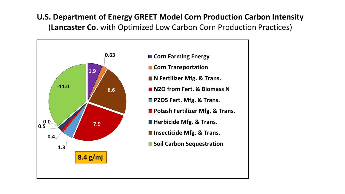### **U.S. Department of Energy GREET Model Corn Production Carbon Intensity** (**Lancaster Co.** with Optimized Low Carbon Corn Production Practices)

![](_page_5_Figure_1.jpeg)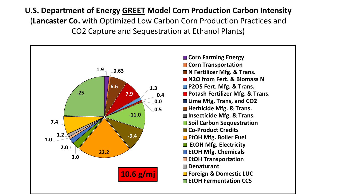## **U.S. Department of Energy GREET Model Corn Production Carbon Intensity** (**Lancaster Co.** with Optimized Low Carbon Corn Production Practices and

CO2 Capture and Sequestration at Ethanol Plants)

![](_page_6_Figure_2.jpeg)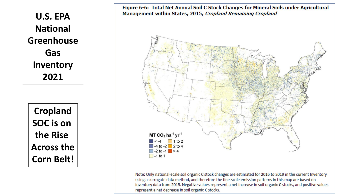**U.S. EPA National Greenhouse Gas Inventory 2021**

**Cropland SOC is on the Rise Across the Corn Belt!**

Figure 6-6: Total Net Annual Soil C Stock Changes for Mineral Soils under Agricultural Management within States, 2015, Cropland Remaining Cropland

![](_page_7_Figure_3.jpeg)

Note: Only national-scale soil organic C stock changes are estimated for 2016 to 2019 in the current Inventory using a surrogate data method, and therefore the fine-scale emission patterns in this map are based on inventory data from 2015. Negative values represent a net increase in soil organic C stocks, and positive values represent a net decrease in soil organic C stocks.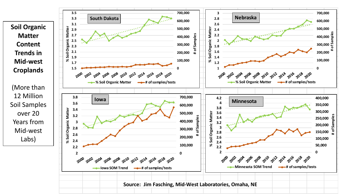![](_page_8_Figure_0.jpeg)